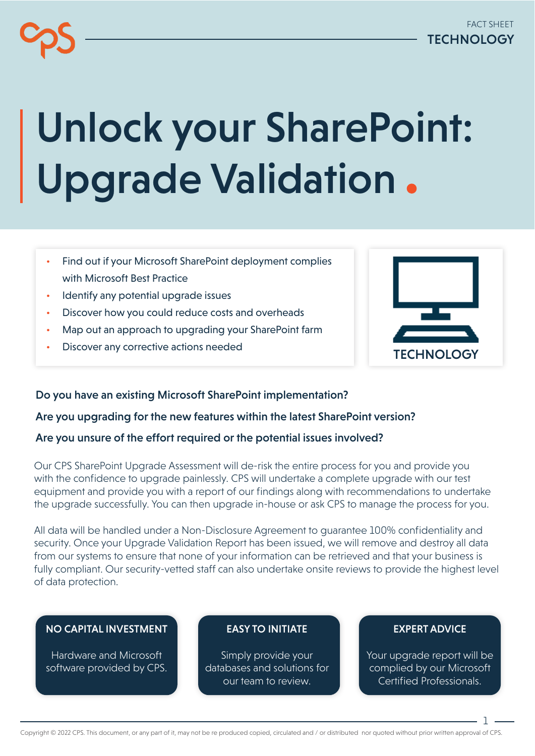# Unlock your SharePoint: Upgrade Validation

- Find out if your Microsoft SharePoint deployment complies with Microsoft Best Practice
- Identify any potential upgrade issues
- Discover how you could reduce costs and overheads
- Map out an approach to upgrading your SharePoint farm
- Discover any corrective actions needed



## Do you have an existing Microsoft SharePoint implementation?

## Are you upgrading for the new features within the latest SharePoint version?

## Are you unsure of the effort required or the potential issues involved?

Our CPS SharePoint Upgrade Assessment will de-risk the entire process for you and provide you with the confidence to upgrade painlessly. CPS will undertake a complete upgrade with our test equipment and provide you with a report of our findings along with recommendations to undertake the upgrade successfully. You can then upgrade in-house or ask CPS to manage the process for you.

All data will be handled under a Non-Disclosure Agreement to guarantee 100% confidentiality and security. Once your Upgrade Validation Report has been issued, we will remove and destroy all data from our systems to ensure that none of your information can be retrieved and that your business is fully compliant. Our security-vetted staff can also undertake onsite reviews to provide the highest level of data protection.

## NO CAPITAL INVESTMENT

Hardware and Microsoft software provided by CPS.

## EASY TO INITIATE

Simply provide your databases and solutions for our team to review.

## EXPERT ADVICE

Your upgrade report will be complied by our Microsoft Certified Professionals.